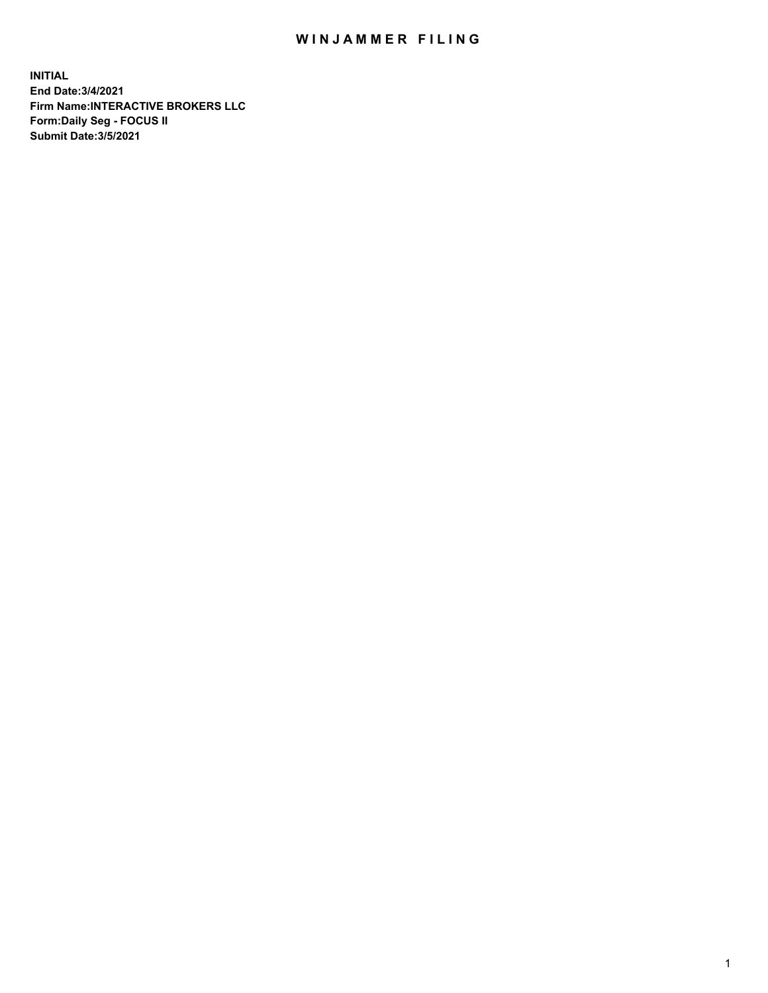## WIN JAMMER FILING

**INITIAL End Date:3/4/2021 Firm Name:INTERACTIVE BROKERS LLC Form:Daily Seg - FOCUS II Submit Date:3/5/2021**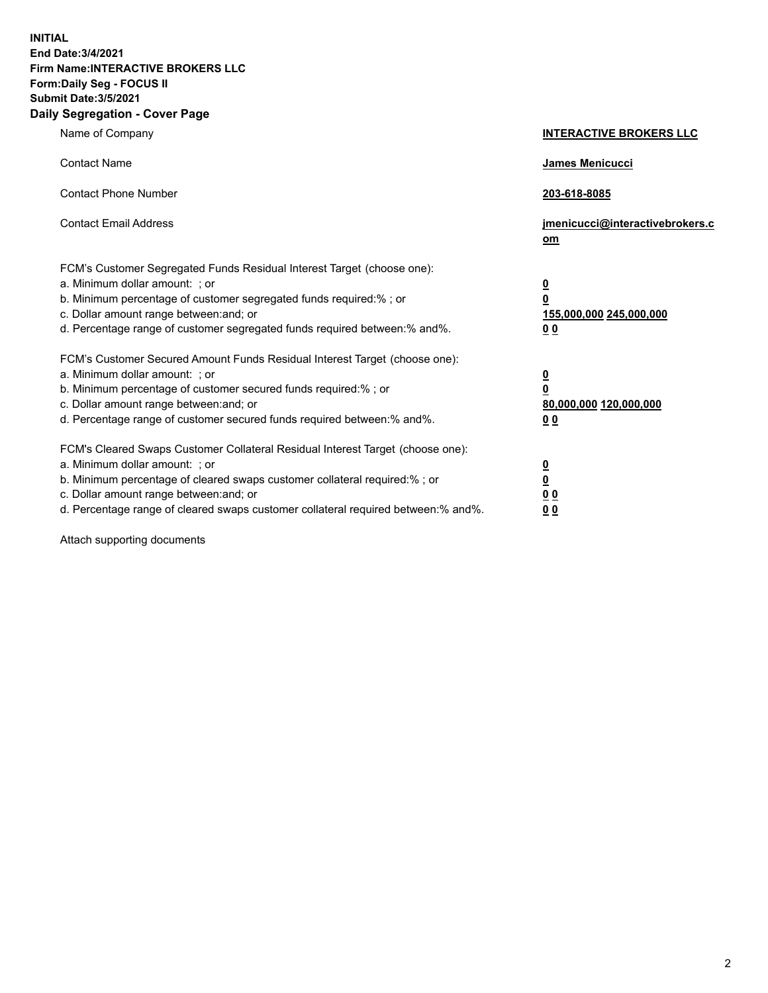**INITIAL End Date:3/4/2021 Firm Name:INTERACTIVE BROKERS LLC Form:Daily Seg - FOCUS II Submit Date:3/5/2021 Daily Segregation - Cover Page**

| Name of Company                                                                                                                                                                                                                                                                                                                | <b>INTERACTIVE BROKERS LLC</b>                                                                  |
|--------------------------------------------------------------------------------------------------------------------------------------------------------------------------------------------------------------------------------------------------------------------------------------------------------------------------------|-------------------------------------------------------------------------------------------------|
| <b>Contact Name</b>                                                                                                                                                                                                                                                                                                            | James Menicucci                                                                                 |
| <b>Contact Phone Number</b>                                                                                                                                                                                                                                                                                                    | 203-618-8085                                                                                    |
| <b>Contact Email Address</b>                                                                                                                                                                                                                                                                                                   | jmenicucci@interactivebrokers.c<br>om                                                           |
| FCM's Customer Segregated Funds Residual Interest Target (choose one):<br>a. Minimum dollar amount: ; or<br>b. Minimum percentage of customer segregated funds required:%; or<br>c. Dollar amount range between: and; or<br>d. Percentage range of customer segregated funds required between:% and%.                          | $\overline{\mathbf{0}}$<br>$\overline{\mathbf{0}}$<br>155,000,000 245,000,000<br>0 <sub>0</sub> |
| FCM's Customer Secured Amount Funds Residual Interest Target (choose one):<br>a. Minimum dollar amount: ; or<br>b. Minimum percentage of customer secured funds required:% ; or<br>c. Dollar amount range between: and; or<br>d. Percentage range of customer secured funds required between:% and%.                           | $\frac{0}{0}$<br>80,000,000 120,000,000<br>0 <sub>0</sub>                                       |
| FCM's Cleared Swaps Customer Collateral Residual Interest Target (choose one):<br>a. Minimum dollar amount: ; or<br>b. Minimum percentage of cleared swaps customer collateral required:% ; or<br>c. Dollar amount range between: and; or<br>d. Percentage range of cleared swaps customer collateral required between:% and%. | $\frac{0}{0}$<br>0 <sub>0</sub><br>0 <sub>0</sub>                                               |

Attach supporting documents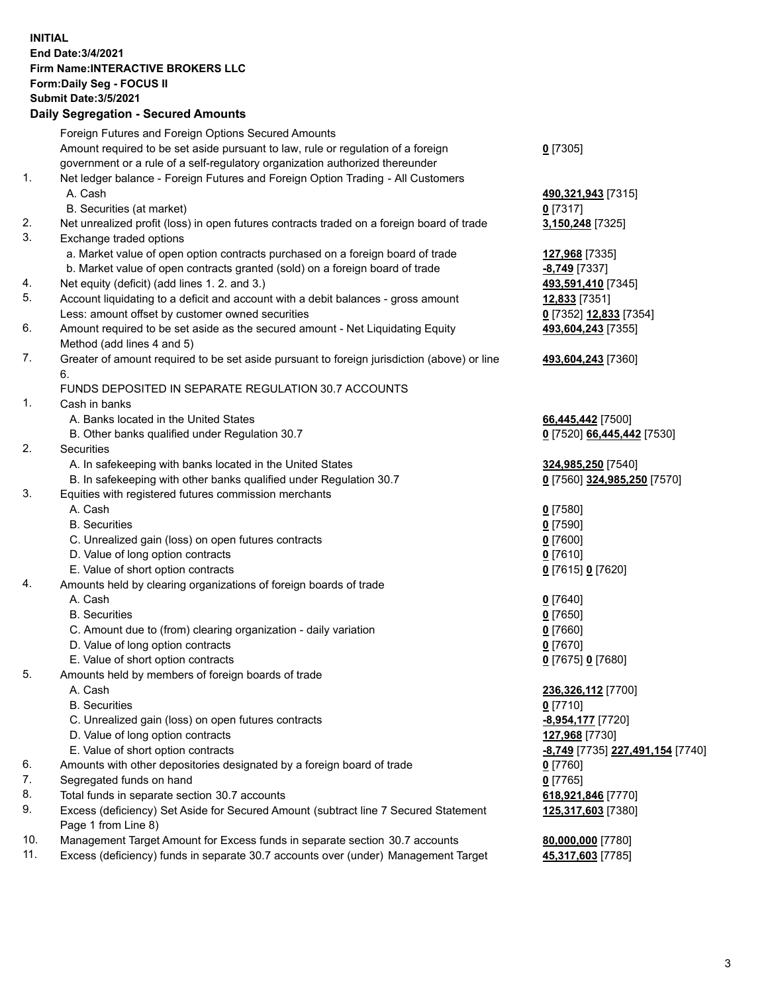## **INITIAL End Date:3/4/2021 Firm Name:INTERACTIVE BROKERS LLC Form:Daily Seg - FOCUS II Submit Date:3/5/2021 Daily Segregation - Secured Amounts**

|                | $\frac{1}{2}$                                                                                              |                                         |
|----------------|------------------------------------------------------------------------------------------------------------|-----------------------------------------|
|                | Foreign Futures and Foreign Options Secured Amounts                                                        |                                         |
|                | Amount required to be set aside pursuant to law, rule or regulation of a foreign                           | $0$ [7305]                              |
|                | government or a rule of a self-regulatory organization authorized thereunder                               |                                         |
| $\mathbf{1}$ . | Net ledger balance - Foreign Futures and Foreign Option Trading - All Customers                            |                                         |
|                | A. Cash                                                                                                    | 490,321,943 [7315]                      |
|                | B. Securities (at market)                                                                                  | $0$ [7317]                              |
| 2.             | Net unrealized profit (loss) in open futures contracts traded on a foreign board of trade                  | 3,150,248 [7325]                        |
| 3.             | Exchange traded options                                                                                    |                                         |
|                | a. Market value of open option contracts purchased on a foreign board of trade                             | 127,968 [7335]                          |
|                | b. Market value of open contracts granted (sold) on a foreign board of trade                               | -8,749 [7337]                           |
| 4.             | Net equity (deficit) (add lines 1. 2. and 3.)                                                              | 493,591,410 [7345]                      |
| 5.             | Account liquidating to a deficit and account with a debit balances - gross amount                          | <b>12,833</b> [7351]                    |
|                | Less: amount offset by customer owned securities                                                           | 0 [7352] 12,833 [7354]                  |
| 6.             | Amount required to be set aside as the secured amount - Net Liquidating Equity                             | 493,604,243 [7355]                      |
|                | Method (add lines 4 and 5)                                                                                 |                                         |
| 7.             | Greater of amount required to be set aside pursuant to foreign jurisdiction (above) or line<br>6.          | 493,604,243 [7360]                      |
|                | FUNDS DEPOSITED IN SEPARATE REGULATION 30.7 ACCOUNTS                                                       |                                         |
| $\mathbf{1}$ . | Cash in banks                                                                                              |                                         |
|                | A. Banks located in the United States                                                                      | 66,445,442 [7500]                       |
|                | B. Other banks qualified under Regulation 30.7                                                             | 0 [7520] 66,445,442 [7530]              |
| 2.             | Securities                                                                                                 |                                         |
|                | A. In safekeeping with banks located in the United States                                                  | 324,985,250 [7540]                      |
|                | B. In safekeeping with other banks qualified under Regulation 30.7                                         | 0 [7560] 324,985,250 [7570]             |
| 3.             | Equities with registered futures commission merchants                                                      |                                         |
|                | A. Cash                                                                                                    | $0$ [7580]                              |
|                | <b>B.</b> Securities                                                                                       | $0$ [7590]                              |
|                | C. Unrealized gain (loss) on open futures contracts                                                        | $0$ [7600]                              |
|                | D. Value of long option contracts                                                                          | $0$ [7610]                              |
|                | E. Value of short option contracts                                                                         | 0 [7615] 0 [7620]                       |
| 4.             | Amounts held by clearing organizations of foreign boards of trade                                          |                                         |
|                | A. Cash                                                                                                    | $0$ [7640]                              |
|                | <b>B.</b> Securities                                                                                       | $0$ [7650]                              |
|                | C. Amount due to (from) clearing organization - daily variation                                            | $0$ [7660]                              |
|                | D. Value of long option contracts                                                                          | $0$ [7670]                              |
|                | E. Value of short option contracts                                                                         | 0 [7675] 0 [7680]                       |
| 5.             | Amounts held by members of foreign boards of trade                                                         |                                         |
|                | A. Cash                                                                                                    | 236,326,112 [7700]                      |
|                | <b>B.</b> Securities                                                                                       | $0$ [7710]                              |
|                | C. Unrealized gain (loss) on open futures contracts                                                        | -8,954,177 [7720]                       |
|                | D. Value of long option contracts                                                                          | 127,968 [7730]                          |
|                | E. Value of short option contracts                                                                         | <u>-8,749</u> [7735] 227,491,154 [7740] |
| 6.             | Amounts with other depositories designated by a foreign board of trade                                     | $0$ [7760]                              |
| 7.             | Segregated funds on hand                                                                                   | $0$ [7765]                              |
| 8.             | Total funds in separate section 30.7 accounts                                                              | 618,921,846 [7770]                      |
| 9.             | Excess (deficiency) Set Aside for Secured Amount (subtract line 7 Secured Statement<br>Page 1 from Line 8) | 125,317,603 [7380]                      |
| 10.            | Management Target Amount for Excess funds in separate section 30.7 accounts                                | 80,000,000 [7780]                       |
| 11.            | Excess (deficiency) funds in separate 30.7 accounts over (under) Management Target                         | 45,317,603 [7785]                       |
|                |                                                                                                            |                                         |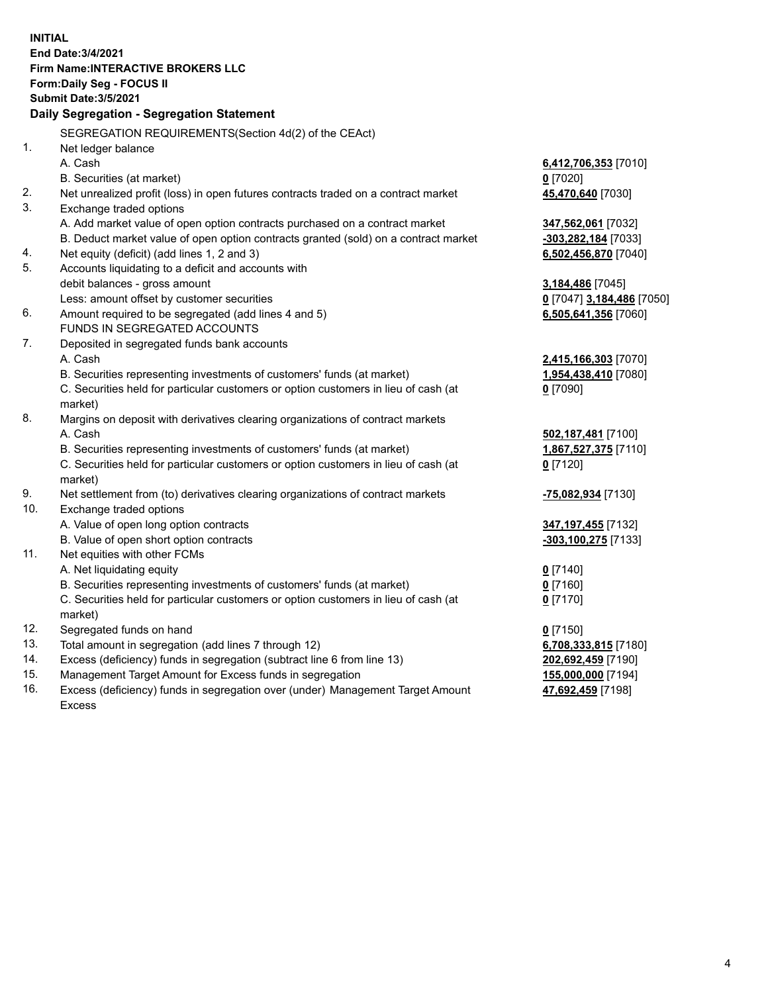**INITIAL End Date:3/4/2021 Firm Name:INTERACTIVE BROKERS LLC Form:Daily Seg - FOCUS II Submit Date:3/5/2021 Daily Segregation - Segregation Statement** SEGREGATION REQUIREMENTS(Section 4d(2) of the CEAct) 1. Net ledger balance A. Cash **6,412,706,353** [7010] B. Securities (at market) **0** [7020] 2. Net unrealized profit (loss) in open futures contracts traded on a contract market **45,470,640** [7030] 3. Exchange traded options A. Add market value of open option contracts purchased on a contract market **347,562,061** [7032] B. Deduct market value of open option contracts granted (sold) on a contract market **-303,282,184** [7033] 4. Net equity (deficit) (add lines 1, 2 and 3) **6,502,456,870** [7040] 5. Accounts liquidating to a deficit and accounts with debit balances - gross amount **3,184,486** [7045] Less: amount offset by customer securities **0** [7047] **3,184,486** [7050] 6. Amount required to be segregated (add lines 4 and 5) **6,505,641,356** [7060] FUNDS IN SEGREGATED ACCOUNTS 7. Deposited in segregated funds bank accounts A. Cash **2,415,166,303** [7070] B. Securities representing investments of customers' funds (at market) **1,954,438,410** [7080] C. Securities held for particular customers or option customers in lieu of cash (at market) **0** [7090] 8. Margins on deposit with derivatives clearing organizations of contract markets A. Cash **502,187,481** [7100] B. Securities representing investments of customers' funds (at market) **1,867,527,375** [7110] C. Securities held for particular customers or option customers in lieu of cash (at market) **0** [7120] 9. Net settlement from (to) derivatives clearing organizations of contract markets **-75,082,934** [7130] 10. Exchange traded options A. Value of open long option contracts **347,197,455** [7132] B. Value of open short option contracts **-303,100,275** [7133] 11. Net equities with other FCMs A. Net liquidating equity **0** [7140] B. Securities representing investments of customers' funds (at market) **0** [7160] C. Securities held for particular customers or option customers in lieu of cash (at market) **0** [7170] 12. Segregated funds on hand **0** [7150] 13. Total amount in segregation (add lines 7 through 12) **6,708,333,815** [7180] 14. Excess (deficiency) funds in segregation (subtract line 6 from line 13) **202,692,459** [7190] 15. Management Target Amount for Excess funds in segregation **155,000,000** [7194] 16. Excess (deficiency) funds in segregation over (under) Management Target Amount Excess **47,692,459** [7198]